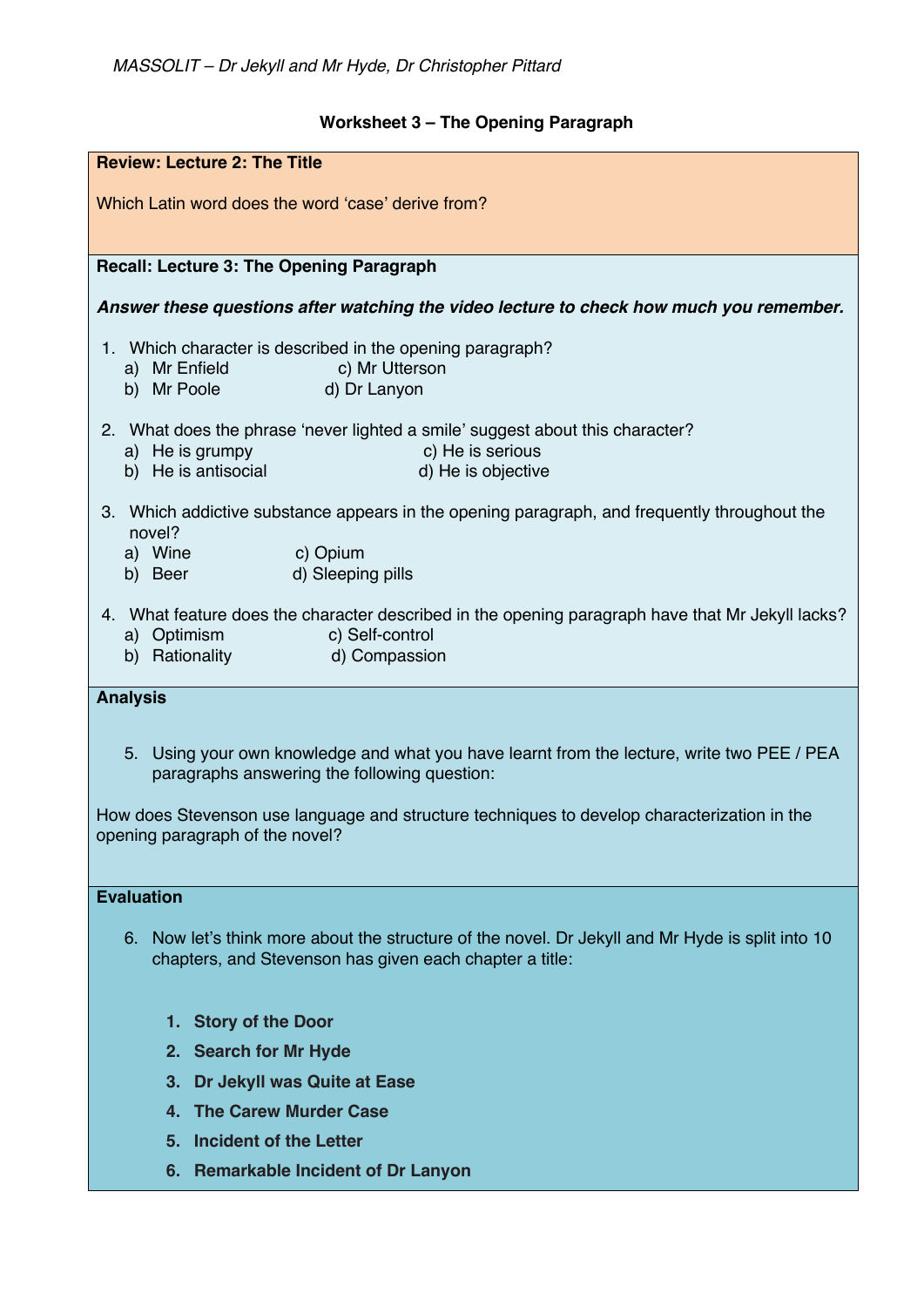## **Worksheet 3 – The Opening Paragraph**

| <b>Review: Lecture 2: The Title</b>                                                                                                                               |
|-------------------------------------------------------------------------------------------------------------------------------------------------------------------|
| Which Latin word does the word 'case' derive from?                                                                                                                |
|                                                                                                                                                                   |
| Recall: Lecture 3: The Opening Paragraph                                                                                                                          |
|                                                                                                                                                                   |
| Answer these questions after watching the video lecture to check how much you remember.                                                                           |
| 1. Which character is described in the opening paragraph?                                                                                                         |
| a) Mr Enfield<br>c) Mr Utterson<br>b) Mr Poole and the state of the state of the state of the state of the state of the state of the state of the<br>d) Dr Lanyon |
|                                                                                                                                                                   |
| 2. What does the phrase 'never lighted a smile' suggest about this character?<br>c) He is serious<br>a) He is grumpy                                              |
| b) He is antisocial<br>d) He is objective                                                                                                                         |
| 3. Which addictive substance appears in the opening paragraph, and frequently throughout the                                                                      |
| novel?                                                                                                                                                            |
| a) Wine<br>c) Opium<br>d) Sleeping pills<br>b) Beer                                                                                                               |
|                                                                                                                                                                   |
| 4. What feature does the character described in the opening paragraph have that Mr Jekyll lacks?                                                                  |
| a) Optimism<br>c) Self-control<br>b) Rationality<br>d) Compassion                                                                                                 |
|                                                                                                                                                                   |
| <b>Analysis</b>                                                                                                                                                   |
| 5. Using your own knowledge and what you have learnt from the lecture, write two PEE / PEA                                                                        |
| paragraphs answering the following question:                                                                                                                      |
| How does Stevenson use language and structure techniques to develop characterization in the                                                                       |
| opening paragraph of the novel?                                                                                                                                   |
|                                                                                                                                                                   |
| <b>Evaluation</b>                                                                                                                                                 |
| 6. Now let's think more about the structure of the novel. Dr Jekyll and Mr Hyde is split into 10                                                                  |
| chapters, and Stevenson has given each chapter a title:                                                                                                           |
|                                                                                                                                                                   |
| 1. Story of the Door                                                                                                                                              |
| 2. Search for Mr Hyde                                                                                                                                             |
| Dr Jekyll was Quite at Ease<br>3.                                                                                                                                 |
| <b>The Carew Murder Case</b><br>4.                                                                                                                                |
| 5. Incident of the Letter                                                                                                                                         |
| 6. Remarkable Incident of Dr Lanyon                                                                                                                               |